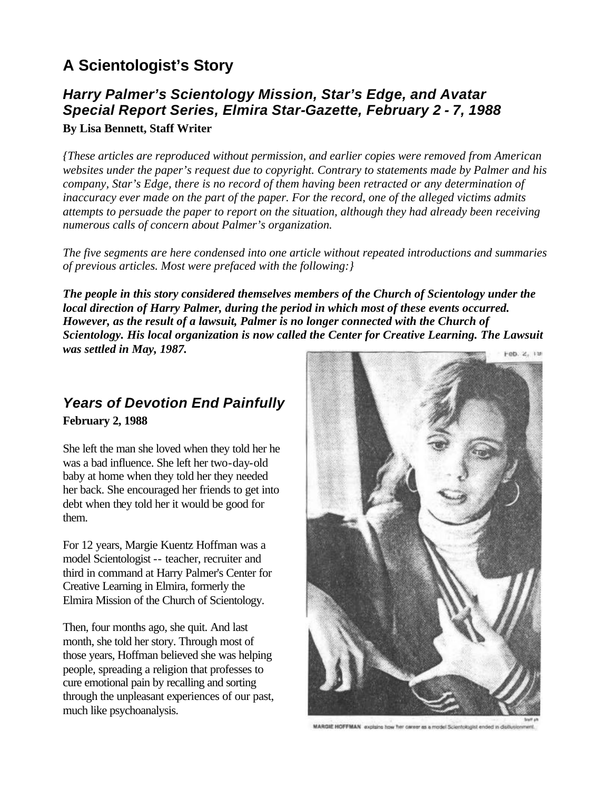## **A Scientologist's Story**

#### *Harry Palmer's Scientology Mission, Star's Edge, and Avatar Special Report Series, Elmira Star-Gazette, February 2 - 7, 1988* **By Lisa Bennett, Staff Writer**

*{These articles are reproduced without permission, and earlier copies were removed from American websites under the paper's request due to copyright. Contrary to statements made by Palmer and his company, Star's Edge, there is no record of them having been retracted or any determination of inaccuracy ever made on the part of the paper. For the record, one of the alleged victims admits attempts to persuade the paper to report on the situation, although they had already been receiving numerous calls of concern about Palmer's organization.* 

*The five segments are here condensed into one article without repeated introductions and summaries of previous articles. Most were prefaced with the following:}*

*The people in this story considered themselves members of the Church of Scientology under the local direction of Harry Palmer, during the period in which most of these events occurred. However, as the result of a lawsuit, Palmer is no longer connected with the Church of Scientology. His local organization is now called the Center for Creative Learning. The Lawsuit was settled in May, 1987.*   $F<sub>BD</sub>, Z, 12$ 

### *Years of Devotion End Painfully*  **February 2, 1988**

She left the man she loved when they told her he was a bad influence. She left her two-day-old baby at home when they told her they needed her back. She encouraged her friends to get into debt when they told her it would be good for them.

For 12 years, Margie Kuentz Hoffman was a model Scientologist -- teacher, recruiter and third in command at Harry Palmer's Center for Creative Learning in Elmira, formerly the Elmira Mission of the Church of Scientology.

Then, four months ago, she quit. And last month, she told her story. Through most of those years, Hoffman believed she was helping people, spreading a religion that professes to cure emotional pain by recalling and sorting through the unpleasant experiences of our past, much like psychoanalysis.



MARGIE HOFFMAN explains how her career as a model Scientologist ended in disllus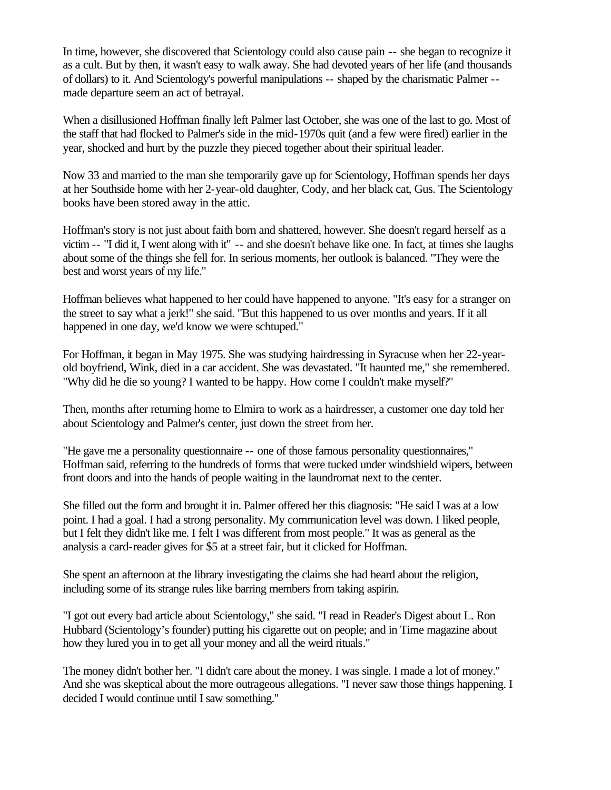In time, however, she discovered that Scientology could also cause pain -- she began to recognize it as a cult. But by then, it wasn't easy to walk away. She had devoted years of her life (and thousands of dollars) to it. And Scientology's powerful manipulations -- shaped by the charismatic Palmer - made departure seem an act of betrayal.

When a disillusioned Hoffman finally left Palmer last October, she was one of the last to go. Most of the staff that had flocked to Palmer's side in the mid-1970s quit (and a few were fired) earlier in the year, shocked and hurt by the puzzle they pieced together about their spiritual leader.

Now 33 and married to the man she temporarily gave up for Scientology, Hoffman spends her days at her Southside home with her 2-year-old daughter, Cody, and her black cat, Gus. The Scientology books have been stored away in the attic.

Hoffman's story is not just about faith born and shattered, however. She doesn't regard herself as a victim -- "I did it, I went along with it" -- and she doesn't behave like one. In fact, at times she laughs about some of the things she fell for. In serious moments, her outlook is balanced. "They were the best and worst years of my life."

Hoffman believes what happened to her could have happened to anyone. "It's easy for a stranger on the street to say what a jerk!" she said. "But this happened to us over months and years. If it all happened in one day, we'd know we were schtuped."

For Hoffman, it began in May 1975. She was studying hairdressing in Syracuse when her 22-yearold boyfriend, Wink, died in a car accident. She was devastated. "It haunted me," she remembered. "Why did he die so young? I wanted to be happy. How come I couldn't make myself?"

Then, months after returning home to Elmira to work as a hairdresser, a customer one day told her about Scientology and Palmer's center, just down the street from her.

"He gave me a personality questionnaire -- one of those famous personality questionnaires," Hoffman said, referring to the hundreds of forms that were tucked under windshield wipers, between front doors and into the hands of people waiting in the laundromat next to the center.

She filled out the form and brought it in. Palmer offered her this diagnosis: "He said I was at a low point. I had a goal. I had a strong personality. My communication level was down. I liked people, but I felt they didn't like me. I felt I was different from most people." It was as general as the analysis a card-reader gives for \$5 at a street fair, but it clicked for Hoffman.

She spent an afternoon at the library investigating the claims she had heard about the religion, including some of its strange rules like barring members from taking aspirin.

"I got out every bad article about Scientology," she said. "I read in Reader's Digest about L. Ron Hubbard (Scientology's founder) putting his cigarette out on people; and in Time magazine about how they lured you in to get all your money and all the weird rituals."

The money didn't bother her. "I didn't care about the money. I was single. I made a lot of money." And she was skeptical about the more outrageous allegations. "I never saw those things happening. I decided I would continue until I saw something."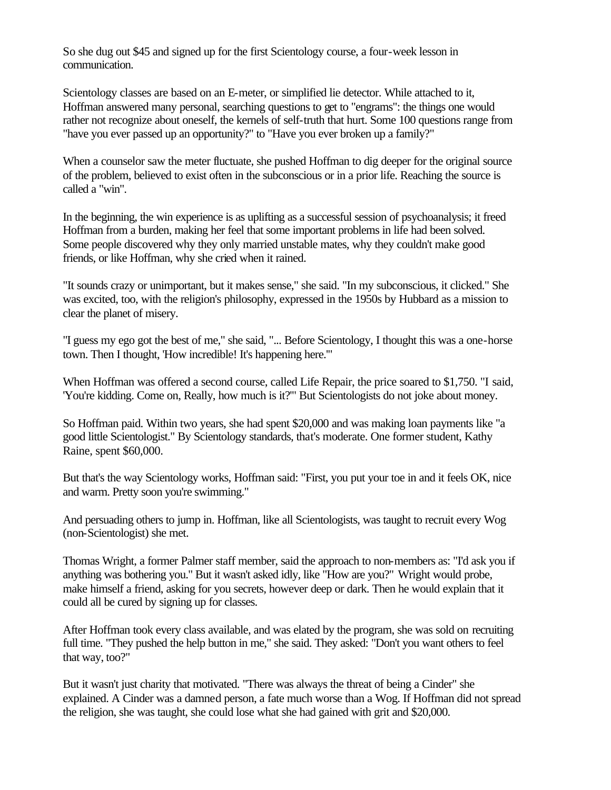So she dug out \$45 and signed up for the first Scientology course, a four-week lesson in communication.

Scientology classes are based on an E-meter, or simplified lie detector. While attached to it, Hoffman answered many personal, searching questions to get to "engrams": the things one would rather not recognize about oneself, the kernels of self-truth that hurt. Some 100 questions range from "have you ever passed up an opportunity?" to "Have you ever broken up a family?"

When a counselor saw the meter fluctuate, she pushed Hoffman to dig deeper for the original source of the problem, believed to exist often in the subconscious or in a prior life. Reaching the source is called a "win".

In the beginning, the win experience is as uplifting as a successful session of psychoanalysis; it freed Hoffman from a burden, making her feel that some important problems in life had been solved. Some people discovered why they only married unstable mates, why they couldn't make good friends, or like Hoffman, why she cried when it rained.

"It sounds crazy or unimportant, but it makes sense," she said. "In my subconscious, it clicked." She was excited, too, with the religion's philosophy, expressed in the 1950s by Hubbard as a mission to clear the planet of misery.

"I guess my ego got the best of me," she said, "... Before Scientology, I thought this was a one-horse town. Then I thought, 'How incredible! It's happening here.'"

When Hoffman was offered a second course, called Life Repair, the price soared to \$1,750. "I said, 'You're kidding. Come on, Really, how much is it?'" But Scientologists do not joke about money.

So Hoffman paid. Within two years, she had spent \$20,000 and was making loan payments like "a good little Scientologist." By Scientology standards, that's moderate. One former student, Kathy Raine, spent \$60,000.

But that's the way Scientology works, Hoffman said: "First, you put your toe in and it feels OK, nice and warm. Pretty soon you're swimming."

And persuading others to jump in. Hoffman, like all Scientologists, was taught to recruit every Wog (non-Scientologist) she met.

Thomas Wright, a former Palmer staff member, said the approach to non-members as: "I'd ask you if anything was bothering you." But it wasn't asked idly, like "How are you?" Wright would probe, make himself a friend, asking for you secrets, however deep or dark. Then he would explain that it could all be cured by signing up for classes.

After Hoffman took every class available, and was elated by the program, she was sold on recruiting full time. "They pushed the help button in me," she said. They asked: "Don't you want others to feel that way, too?"

But it wasn't just charity that motivated. "There was always the threat of being a Cinder" she explained. A Cinder was a damned person, a fate much worse than a Wog. If Hoffman did not spread the religion, she was taught, she could lose what she had gained with grit and \$20,000.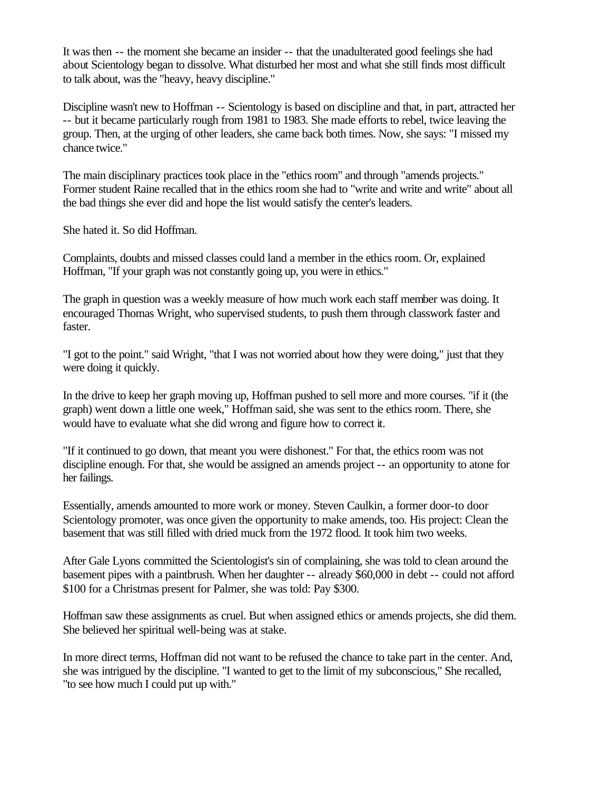It was then -- the moment she became an insider -- that the unadulterated good feelings she had about Scientology began to dissolve. What disturbed her most and what she still finds most difficult to talk about, was the "heavy, heavy discipline."

Discipline wasn't new to Hoffman -- Scientology is based on discipline and that, in part, attracted her -- but it became particularly rough from 1981 to 1983. She made efforts to rebel, twice leaving the group. Then, at the urging of other leaders, she came back both times. Now, she says: "I missed my chance twice."

The main disciplinary practices took place in the "ethics room" and through "amends projects." Former student Raine recalled that in the ethics room she had to "write and write and write" about all the bad things she ever did and hope the list would satisfy the center's leaders.

She hated it. So did Hoffman.

Complaints, doubts and missed classes could land a member in the ethics room. Or, explained Hoffman, "If your graph was not constantly going up, you were in ethics."

The graph in question was a weekly measure of how much work each staff member was doing. It encouraged Thomas Wright, who supervised students, to push them through classwork faster and faster.

"I got to the point." said Wright, "that I was not worried about how they were doing," just that they were doing it quickly.

In the drive to keep her graph moving up, Hoffman pushed to sell more and more courses. "if it (the graph) went down a little one week," Hoffman said, she was sent to the ethics room. There, she would have to evaluate what she did wrong and figure how to correct it.

"If it continued to go down, that meant you were dishonest." For that, the ethics room was not discipline enough. For that, she would be assigned an amends project -- an opportunity to atone for her failings.

Essentially, amends amounted to more work or money. Steven Caulkin, a former door-to door Scientology promoter, was once given the opportunity to make amends, too. His project: Clean the basement that was still filled with dried muck from the 1972 flood. It took him two weeks.

After Gale Lyons committed the Scientologist's sin of complaining, she was told to clean around the basement pipes with a paintbrush. When her daughter -- already \$60,000 in debt -- could not afford \$100 for a Christmas present for Palmer, she was told: Pay \$300.

Hoffman saw these assignments as cruel. But when assigned ethics or amends projects, she did them. She believed her spiritual well-being was at stake.

In more direct terms, Hoffman did not want to be refused the chance to take part in the center. And, she was intrigued by the discipline. "I wanted to get to the limit of my subconscious," She recalled, "to see how much I could put up with."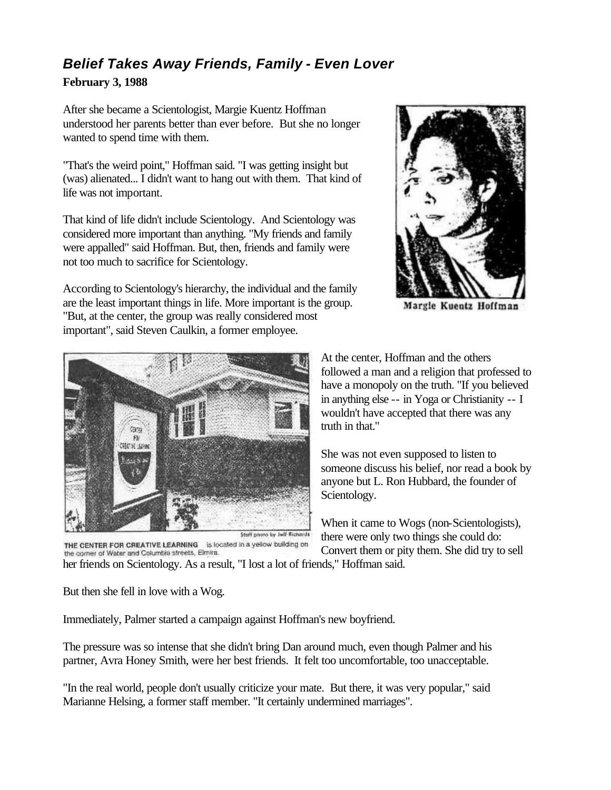## *Belief Takes Away Friends, Family - Even Lover*

#### **February 3, 1988**

After she became a Scientologist, Margie Kuentz Hoffman understood her parents better than ever before. But she no longer wanted to spend time with them.

"That's the weird point," Hoffman said. "I was getting insight but (was) alienated... I didn't want to hang out with them. That kind of life was not important.

That kind of life didn't include Scientology. And Scientology was considered more important than anything. "My friends and family were appalled" said Hoffman. But, then, friends and family were not too much to sacrifice for Scientology.

According to Scientology's hierarchy, the individual and the family are the least important things in life. More important is the group. "But, at the center, the group was really considered most important", said Steven Caulkin, a former employee.



Margie Kuentz Hoffman



THE CENTER FOR CREATIVE LEARNING is located in a yellow building on the corner of Water and Columbia streets, Elmira.

At the center, Hoffman and the others followed a man and a religion that professed to have a monopoly on the truth. "If you believed in anything else -- in Yoga or Christianity -- I wouldn't have accepted that there was any truth in that."

She was not even supposed to listen to someone discuss his belief, nor read a book by anyone but L. Ron Hubbard, the founder of Scientology.

When it came to Wogs (non-Scientologists), there were only two things she could do: Convert them or pity them. She did try to sell

her friends on Scientology. As a result, "I lost a lot of friends," Hoffman said.

But then she fell in love with a Wog.

Immediately, Palmer started a campaign against Hoffman's new boyfriend.

The pressure was so intense that she didn't bring Dan around much, even though Palmer and his partner, Avra Honey Smith, were her best friends. It felt too uncomfortable, too unacceptable.

"In the real world, people don't usually criticize your mate. But there, it was very popular," said Marianne Helsing, a former staff member. "It certainly undermined marriages".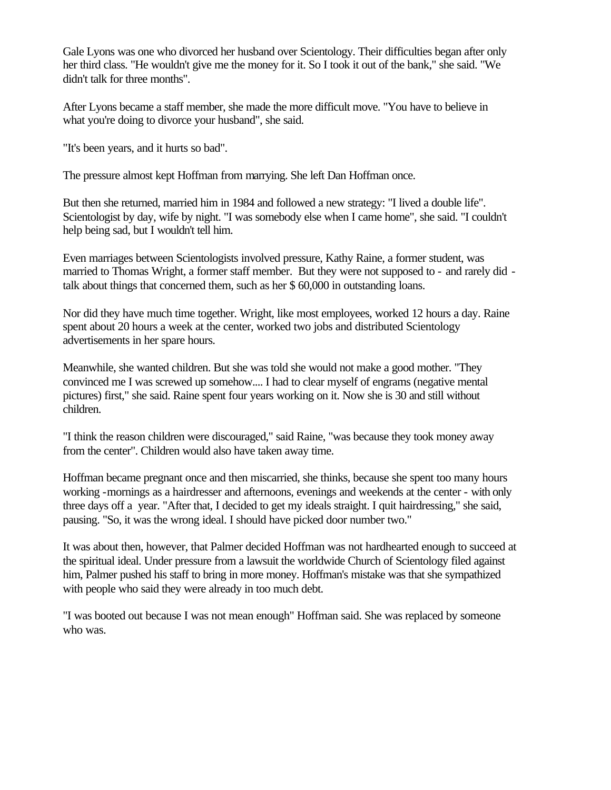Gale Lyons was one who divorced her husband over Scientology. Their difficulties began after only her third class. "He wouldn't give me the money for it. So I took it out of the bank," she said. "We didn't talk for three months".

After Lyons became a staff member, she made the more difficult move. "You have to believe in what you're doing to divorce your husband", she said.

"It's been years, and it hurts so bad".

The pressure almost kept Hoffman from marrying. She left Dan Hoffman once.

But then she returned, married him in 1984 and followed a new strategy: "I lived a double life". Scientologist by day, wife by night. "I was somebody else when I came home", she said. "I couldn't help being sad, but I wouldn't tell him.

Even marriages between Scientologists involved pressure, Kathy Raine, a former student, was married to Thomas Wright, a former staff member. But they were not supposed to - and rarely did talk about things that concerned them, such as her \$ 60,000 in outstanding loans.

Nor did they have much time together. Wright, like most employees, worked 12 hours a day. Raine spent about 20 hours a week at the center, worked two jobs and distributed Scientology advertisements in her spare hours.

Meanwhile, she wanted children. But she was told she would not make a good mother. "They convinced me I was screwed up somehow.... I had to clear myself of engrams (negative mental pictures) first," she said. Raine spent four years working on it. Now she is 30 and still without children.

"I think the reason children were discouraged," said Raine, "was because they took money away from the center". Children would also have taken away time.

Hoffman became pregnant once and then miscarried, she thinks, because she spent too many hours working -mornings as a hairdresser and afternoons, evenings and weekends at the center - with only three days off a year. "After that, I decided to get my ideals straight. I quit hairdressing," she said, pausing. "So, it was the wrong ideal. I should have picked door number two."

It was about then, however, that Palmer decided Hoffman was not hardhearted enough to succeed at the spiritual ideal. Under pressure from a lawsuit the worldwide Church of Scientology filed against him, Palmer pushed his staff to bring in more money. Hoffman's mistake was that she sympathized with people who said they were already in too much debt.

"I was booted out because I was not mean enough" Hoffman said. She was replaced by someone who was.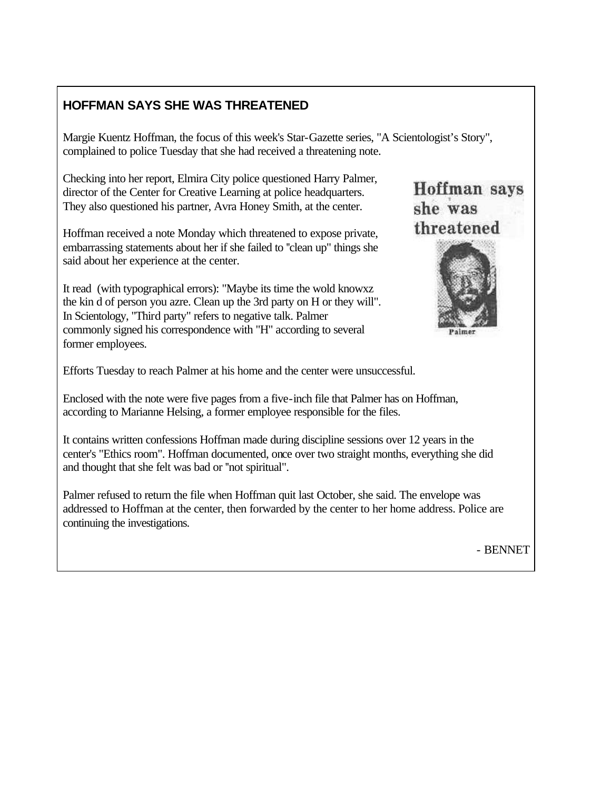### **HOFFMAN SAYS SHE WAS THREATENED**

Margie Kuentz Hoffman, the focus of this week's Star-Gazette series, "A Scientologist's Story", complained to police Tuesday that she had received a threatening note.

Checking into her report, Elmira City police questioned Harry Palmer, director of the Center for Creative Learning at police headquarters. They also questioned his partner, Avra Honey Smith, at the center.

Hoffman received a note Monday which threatened to expose private, embarrassing statements about her if she failed to ''clean up" things she said about her experience at the center.

It read (with typographical errors): "Maybe its time the wold knowxz the kin d of person you azre. Clean up the 3rd party on H or they will". In Scientology, "Third party" refers to negative talk. Palmer commonly signed his correspondence with "H" according to several former employees.





Efforts Tuesday to reach Palmer at his home and the center were unsuccessful.

Enclosed with the note were five pages from a five-inch file that Palmer has on Hoffman, according to Marianne Helsing, a former employee responsible for the files.

It contains written confessions Hoffman made during discipline sessions over 12 years in the center's "Ethics room". Hoffman documented, once over two straight months, everything she did and thought that she felt was bad or ''not spiritual".

Palmer refused to return the file when Hoffman quit last October, she said. The envelope was addressed to Hoffman at the center, then forwarded by the center to her home address. Police are continuing the investigations.

- BENNET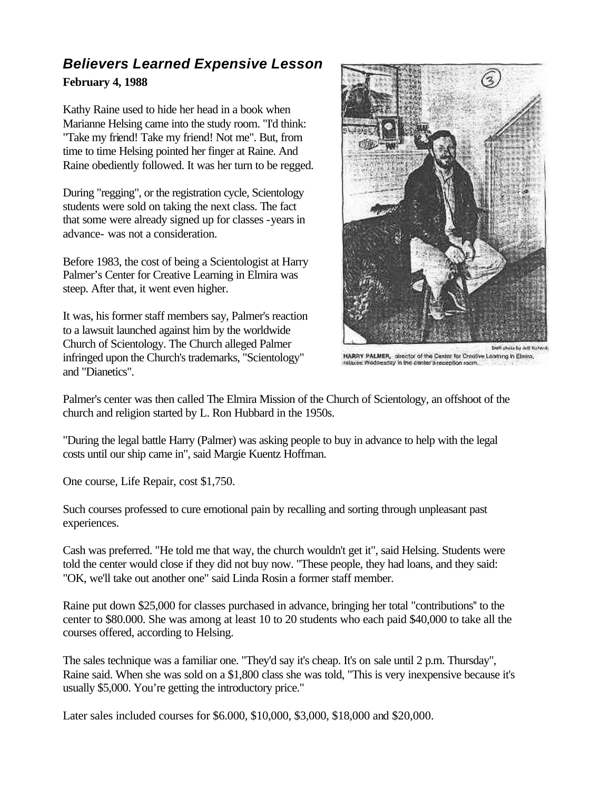### *Believers Learned Expensive Lesson*  **February 4, 1988**

Kathy Raine used to hide her head in a book when Marianne Helsing came into the study room. "I'd think: "Take my friend! Take my friend! Not me". But, from time to time Helsing pointed her finger at Raine. And Raine obediently followed. It was her turn to be regged.

During "regging", or the registration cycle, Scientology students were sold on taking the next class. The fact that some were already signed up for classes -years in advance- was not a consideration.

Before 1983, the cost of being a Scientologist at Harry Palmer's Center for Creative Learning in Elmira was steep. After that, it went even higher.

It was, his former staff members say, Palmer's reaction to a lawsuit launched against him by the worldwide Church of Scientology. The Church alleged Palmer infringed upon the Church's trademarks, "Scientology" and "Dianetics".



HARRY PALMER, director of the Center for Creative Learning in Elmira, relaxes Wednesday in the center's recordion room

Palmer's center was then called The Elmira Mission of the Church of Scientology, an offshoot of the church and religion started by L. Ron Hubbard in the 1950s.

"During the legal battle Harry (Palmer) was asking people to buy in advance to help with the legal costs until our ship came in", said Margie Kuentz Hoffman.

One course, Life Repair, cost \$1,750.

Such courses professed to cure emotional pain by recalling and sorting through unpleasant past experiences.

Cash was preferred. "He told me that way, the church wouldn't get it", said Helsing. Students were told the center would close if they did not buy now. "These people, they had loans, and they said: "OK, we'll take out another one" said Linda Rosin a former staff member.

Raine put down \$25,000 for classes purchased in advance, bringing her total "contributions'' to the center to \$80.000. She was among at least 10 to 20 students who each paid \$40,000 to take all the courses offered, according to Helsing.

The sales technique was a familiar one. "They'd say it's cheap. It's on sale until 2 p.m. Thursday", Raine said. When she was sold on a \$1,800 class she was told, "This is very inexpensive because it's usually \$5,000. You're getting the introductory price."

Later sales included courses for \$6.000, \$10,000, \$3,000, \$18,000 and \$20,000.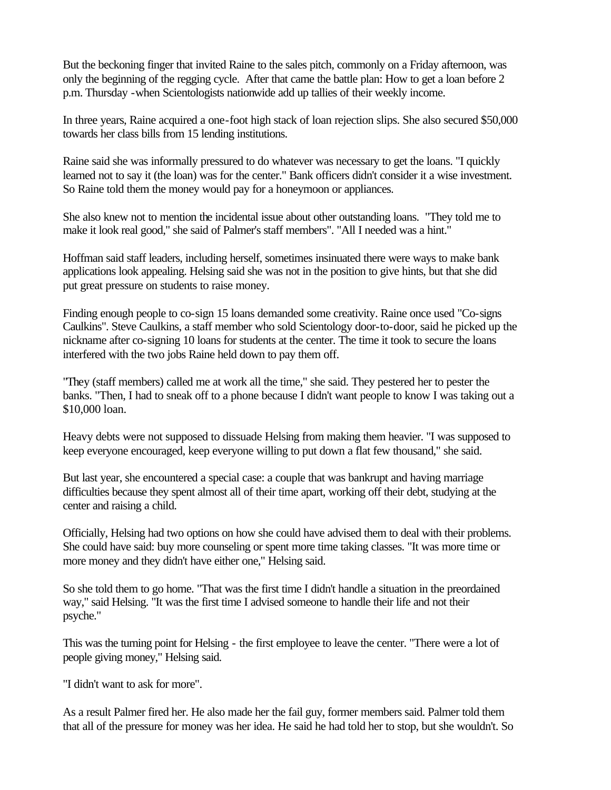But the beckoning finger that invited Raine to the sales pitch, commonly on a Friday afternoon, was only the beginning of the regging cycle. After that came the battle plan: How to get a loan before 2 p.m. Thursday -when Scientologists nationwide add up tallies of their weekly income.

In three years, Raine acquired a one-foot high stack of loan rejection slips. She also secured \$50,000 towards her class bills from 15 lending institutions.

Raine said she was informally pressured to do whatever was necessary to get the loans. "I quickly learned not to say it (the loan) was for the center." Bank officers didn't consider it a wise investment. So Raine told them the money would pay for a honeymoon or appliances.

She also knew not to mention the incidental issue about other outstanding loans. "They told me to make it look real good," she said of Palmer's staff members". "All I needed was a hint."

Hoffman said staff leaders, including herself, sometimes insinuated there were ways to make bank applications look appealing. Helsing said she was not in the position to give hints, but that she did put great pressure on students to raise money.

Finding enough people to co-sign 15 loans demanded some creativity. Raine once used "Co-signs Caulkins". Steve Caulkins, a staff member who sold Scientology door-to-door, said he picked up the nickname after co-signing 10 loans for students at the center. The time it took to secure the loans interfered with the two jobs Raine held down to pay them off.

"They (staff members) called me at work all the time," she said. They pestered her to pester the banks. "Then, I had to sneak off to a phone because I didn't want people to know I was taking out a \$10,000 loan.

Heavy debts were not supposed to dissuade Helsing from making them heavier. "I was supposed to keep everyone encouraged, keep everyone willing to put down a flat few thousand," she said.

But last year, she encountered a special case: a couple that was bankrupt and having marriage difficulties because they spent almost all of their time apart, working off their debt, studying at the center and raising a child.

Officially, Helsing had two options on how she could have advised them to deal with their problems. She could have said: buy more counseling or spent more time taking classes. "It was more time or more money and they didn't have either one," Helsing said.

So she told them to go home. "That was the first time I didn't handle a situation in the preordained way," said Helsing. "It was the first time I advised someone to handle their life and not their psyche."

This was the turning point for Helsing - the first employee to leave the center. "There were a lot of people giving money," Helsing said.

"I didn't want to ask for more".

As a result Palmer fired her. He also made her the fail guy, former members said. Palmer told them that all of the pressure for money was her idea. He said he had told her to stop, but she wouldn't. So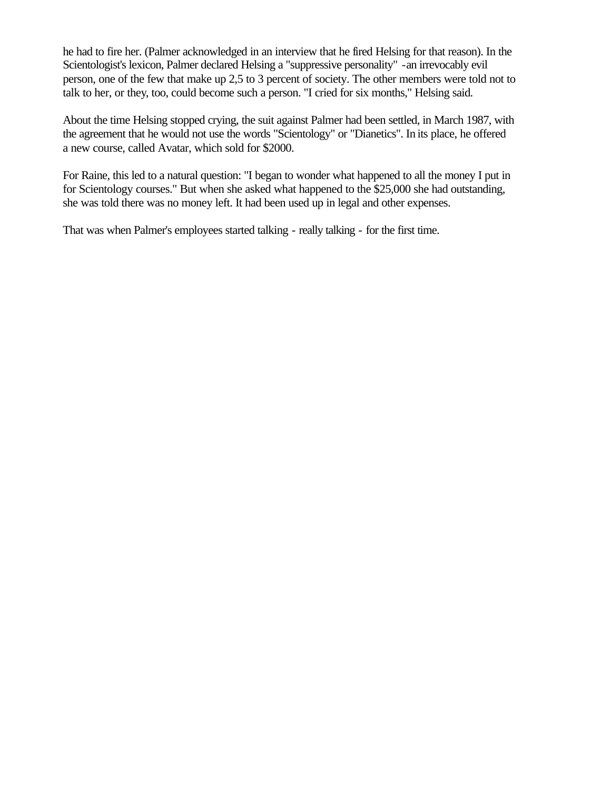he had to fire her. (Palmer acknowledged in an interview that he fired Helsing for that reason). In the Scientologist's lexicon, Palmer declared Helsing a "suppressive personality" -an irrevocably evil person, one of the few that make up 2,5 to 3 percent of society. The other members were told not to talk to her, or they, too, could become such a person. "I cried for six months," Helsing said.

About the time Helsing stopped crying, the suit against Palmer had been settled, in March 1987, with the agreement that he would not use the words "Scientology" or "Dianetics". In its place, he offered a new course, called Avatar, which sold for \$2000.

For Raine, this led to a natural question: "I began to wonder what happened to all the money I put in for Scientology courses." But when she asked what happened to the \$25,000 she had outstanding, she was told there was no money left. It had been used up in legal and other expenses.

That was when Palmer's employees started talking - really talking - for the first time.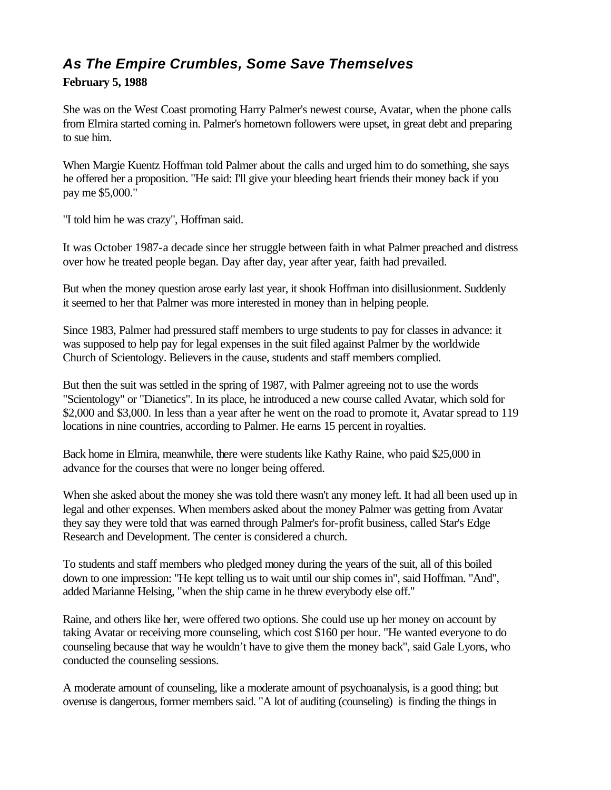## *As The Empire Crumbles, Some Save Themselves*

#### **February 5, 1988**

She was on the West Coast promoting Harry Palmer's newest course, Avatar, when the phone calls from Elmira started coming in. Palmer's hometown followers were upset, in great debt and preparing to sue him.

When Margie Kuentz Hoffman told Palmer about the calls and urged him to do something, she says he offered her a proposition. "He said: I'll give your bleeding heart friends their money back if you pay me \$5,000."

"I told him he was crazy", Hoffman said.

It was October 1987-a decade since her struggle between faith in what Palmer preached and distress over how he treated people began. Day after day, year after year, faith had prevailed.

But when the money question arose early last year, it shook Hoffman into disillusionment. Suddenly it seemed to her that Palmer was more interested in money than in helping people.

Since 1983, Palmer had pressured staff members to urge students to pay for classes in advance: it was supposed to help pay for legal expenses in the suit filed against Palmer by the worldwide Church of Scientology. Believers in the cause, students and staff members complied.

But then the suit was settled in the spring of 1987, with Palmer agreeing not to use the words "Scientology" or "Dianetics". In its place, he introduced a new course called Avatar, which sold for \$2,000 and \$3,000. In less than a year after he went on the road to promote it, Avatar spread to 119 locations in nine countries, according to Palmer. He earns 15 percent in royalties.

Back home in Elmira, meanwhile, there were students like Kathy Raine, who paid \$25,000 in advance for the courses that were no longer being offered.

When she asked about the money she was told there wasn't any money left. It had all been used up in legal and other expenses. When members asked about the money Palmer was getting from Avatar they say they were told that was earned through Palmer's for-profit business, called Star's Edge Research and Development. The center is considered a church.

To students and staff members who pledged money during the years of the suit, all of this boiled down to one impression: "He kept telling us to wait until our ship comes in", said Hoffman. "And", added Marianne Helsing, "when the ship came in he threw everybody else off."

Raine, and others like her, were offered two options. She could use up her money on account by taking Avatar or receiving more counseling, which cost \$160 per hour. "He wanted everyone to do counseling because that way he wouldn't have to give them the money back", said Gale Lyons, who conducted the counseling sessions.

A moderate amount of counseling, like a moderate amount of psychoanalysis, is a good thing; but overuse is dangerous, former members said. "A lot of auditing (counseling) is finding the things in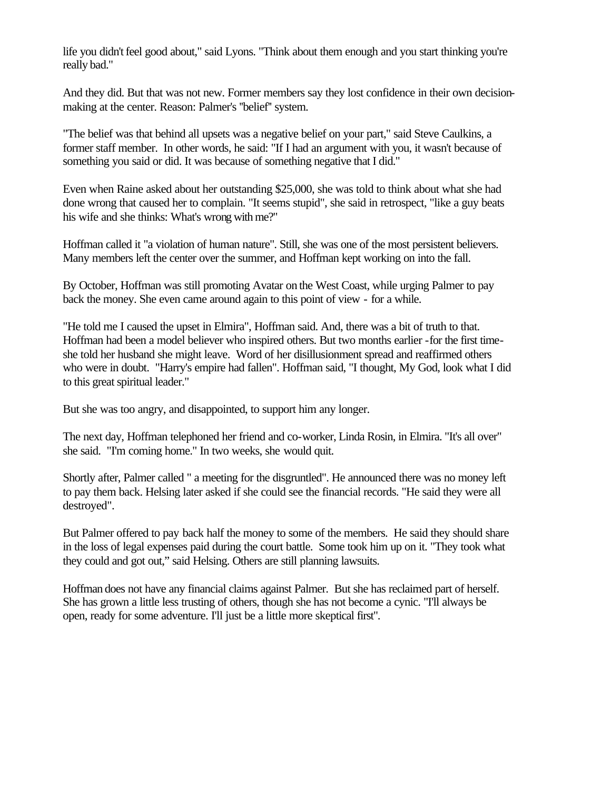life you didn't feel good about," said Lyons. "Think about them enough and you start thinking you're really bad."

And they did. But that was not new. Former members say they lost confidence in their own decisionmaking at the center. Reason: Palmer's ''belief'' system.

"The belief was that behind all upsets was a negative belief on your part," said Steve Caulkins, a former staff member. In other words, he said: "If I had an argument with you, it wasn't because of something you said or did. It was because of something negative that I did."

Even when Raine asked about her outstanding \$25,000, she was told to think about what she had done wrong that caused her to complain. "It seems stupid", she said in retrospect, "like a guy beats his wife and she thinks: What's wrong with me?"

Hoffman called it "a violation of human nature". Still, she was one of the most persistent believers. Many members left the center over the summer, and Hoffman kept working on into the fall.

By October, Hoffman was still promoting Avatar on the West Coast, while urging Palmer to pay back the money. She even came around again to this point of view - for a while.

"He told me I caused the upset in Elmira", Hoffman said. And, there was a bit of truth to that. Hoffman had been a model believer who inspired others. But two months earlier -for the first timeshe told her husband she might leave. Word of her disillusionment spread and reaffirmed others who were in doubt. "Harry's empire had fallen". Hoffman said, "I thought, My God, look what I did to this great spiritual leader."

But she was too angry, and disappointed, to support him any longer.

The next day, Hoffman telephoned her friend and co-worker, Linda Rosin, in Elmira. "It's all over" she said. "I'm coming home." In two weeks, she would quit.

Shortly after, Palmer called " a meeting for the disgruntled". He announced there was no money left to pay them back. Helsing later asked if she could see the financial records. "He said they were all destroyed".

But Palmer offered to pay back half the money to some of the members. He said they should share in the loss of legal expenses paid during the court battle. Some took him up on it. "They took what they could and got out," said Helsing. Others are still planning lawsuits.

Hoffman does not have any financial claims against Palmer. But she has reclaimed part of herself. She has grown a little less trusting of others, though she has not become a cynic. "I'll always be open, ready for some adventure. I'll just be a little more skeptical first".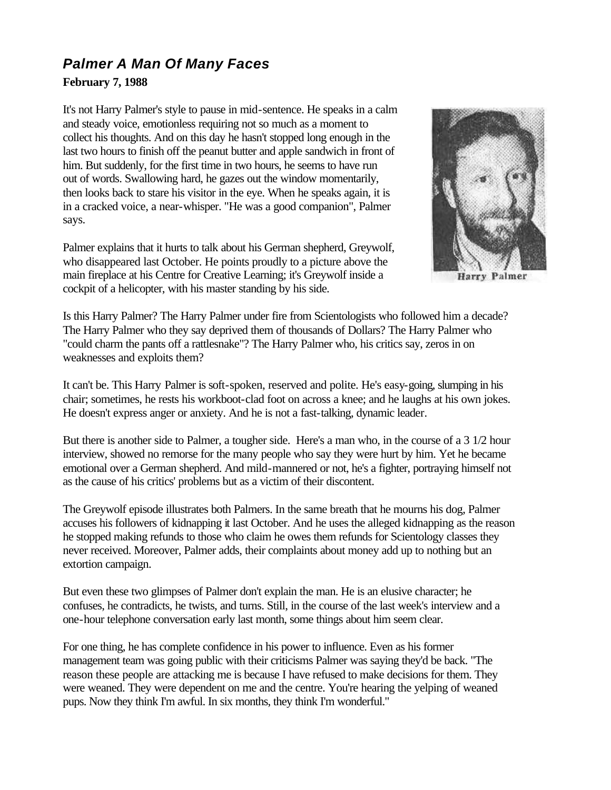# *Palmer A Man Of Many Faces*

#### **February 7, 1988**

It's not Harry Palmer's style to pause in mid-sentence. He speaks in a calm and steady voice, emotionless requiring not so much as a moment to collect his thoughts. And on this day he hasn't stopped long enough in the last two hours to finish off the peanut butter and apple sandwich in front of him. But suddenly, for the first time in two hours, he seems to have run out of words. Swallowing hard, he gazes out the window momentarily, then looks back to stare his visitor in the eye. When he speaks again, it is in a cracked voice, a near-whisper. "He was a good companion", Palmer says.

Palmer explains that it hurts to talk about his German shepherd, Greywolf, who disappeared last October. He points proudly to a picture above the main fireplace at his Centre for Creative Learning; it's Greywolf inside a cockpit of a helicopter, with his master standing by his side.



Palmer Harry

Is this Harry Palmer? The Harry Palmer under fire from Scientologists who followed him a decade? The Harry Palmer who they say deprived them of thousands of Dollars? The Harry Palmer who "could charm the pants off a rattlesnake"? The Harry Palmer who, his critics say, zeros in on weaknesses and exploits them?

It can't be. This Harry Palmer is soft-spoken, reserved and polite. He's easy-going, slumping in his chair; sometimes, he rests his workboot-clad foot on across a knee; and he laughs at his own jokes. He doesn't express anger or anxiety. And he is not a fast-talking, dynamic leader.

But there is another side to Palmer, a tougher side. Here's a man who, in the course of a 3 1/2 hour interview, showed no remorse for the many people who say they were hurt by him. Yet he became emotional over a German shepherd. And mild-mannered or not, he's a fighter, portraying himself not as the cause of his critics' problems but as a victim of their discontent.

The Greywolf episode illustrates both Palmers. In the same breath that he mourns his dog, Palmer accuses his followers of kidnapping it last October. And he uses the alleged kidnapping as the reason he stopped making refunds to those who claim he owes them refunds for Scientology classes they never received. Moreover, Palmer adds, their complaints about money add up to nothing but an extortion campaign.

But even these two glimpses of Palmer don't explain the man. He is an elusive character; he confuses, he contradicts, he twists, and turns. Still, in the course of the last week's interview and a one-hour telephone conversation early last month, some things about him seem clear.

For one thing, he has complete confidence in his power to influence. Even as his former management team was going public with their criticisms Palmer was saying they'd be back. "The reason these people are attacking me is because I have refused to make decisions for them. They were weaned. They were dependent on me and the centre. You're hearing the yelping of weaned pups. Now they think I'm awful. In six months, they think I'm wonderful."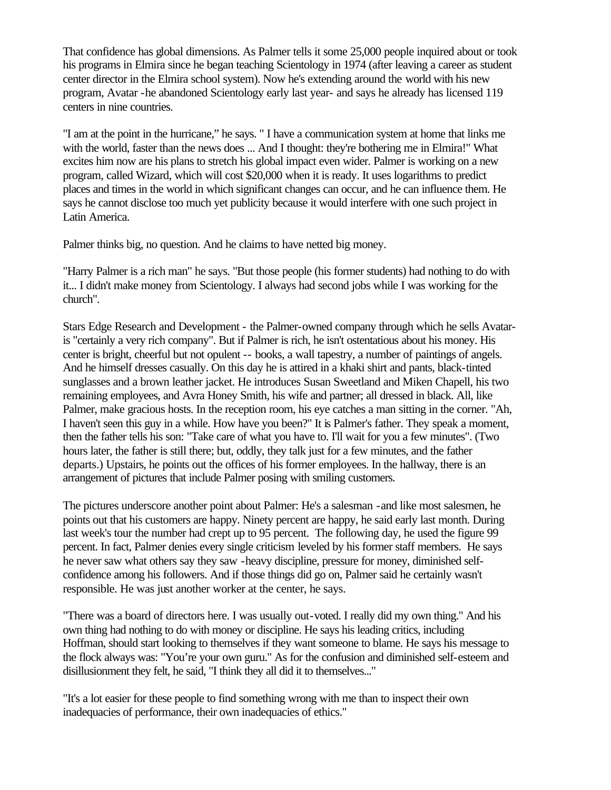That confidence has global dimensions. As Palmer tells it some 25,000 people inquired about or took his programs in Elmira since he began teaching Scientology in 1974 (after leaving a career as student center director in the Elmira school system). Now he's extending around the world with his new program, Avatar -he abandoned Scientology early last year- and says he already has licensed 119 centers in nine countries.

"I am at the point in the hurricane," he says. " I have a communication system at home that links me with the world, faster than the news does ... And I thought: they're bothering me in Elmira!" What excites him now are his plans to stretch his global impact even wider. Palmer is working on a new program, called Wizard, which will cost \$20,000 when it is ready. It uses logarithms to predict places and times in the world in which significant changes can occur, and he can influence them. He says he cannot disclose too much yet publicity because it would interfere with one such project in Latin America.

Palmer thinks big, no question. And he claims to have netted big money.

"Harry Palmer is a rich man" he says. "But those people (his former students) had nothing to do with it... I didn't make money from Scientology. I always had second jobs while I was working for the church".

Stars Edge Research and Development - the Palmer-owned company through which he sells Avataris "certainly a very rich company". But if Palmer is rich, he isn't ostentatious about his money. His center is bright, cheerful but not opulent -- books, a wall tapestry, a number of paintings of angels. And he himself dresses casually. On this day he is attired in a khaki shirt and pants, black-tinted sunglasses and a brown leather jacket. He introduces Susan Sweetland and Miken Chapell, his two remaining employees, and Avra Honey Smith, his wife and partner; all dressed in black. All, like Palmer, make gracious hosts. In the reception room, his eye catches a man sitting in the corner. "Ah, I haven't seen this guy in a while. How have you been?" It is Palmer's father. They speak a moment, then the father tells his son: "Take care of what you have to. I'll wait for you a few minutes". (Two hours later, the father is still there; but, oddly, they talk just for a few minutes, and the father departs.) Upstairs, he points out the offices of his former employees. In the hallway, there is an arrangement of pictures that include Palmer posing with smiling customers.

The pictures underscore another point about Palmer: He's a salesman -and like most salesmen, he points out that his customers are happy. Ninety percent are happy, he said early last month. During last week's tour the number had crept up to 95 percent. The following day, he used the figure 99 percent. In fact, Palmer denies every single criticism leveled by his former staff members. He says he never saw what others say they saw -heavy discipline, pressure for money, diminished selfconfidence among his followers. And if those things did go on, Palmer said he certainly wasn't responsible. He was just another worker at the center, he says.

"There was a board of directors here. I was usually out-voted. I really did my own thing." And his own thing had nothing to do with money or discipline. He says his leading critics, including Hoffman, should start looking to themselves if they want someone to blame. He says his message to the flock always was: "You're your own guru." As for the confusion and diminished self-esteem and disillusionment they felt, he said, "I think they all did it to themselves..."

"It's a lot easier for these people to find something wrong with me than to inspect their own inadequacies of performance, their own inadequacies of ethics."